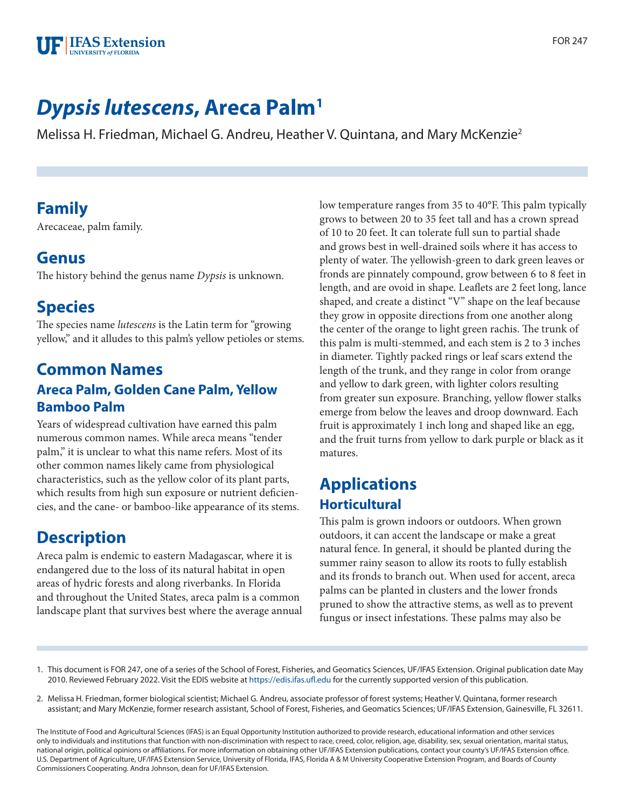

# *Dypsis lutescens***, Areca Palm1**

Melissa H. Friedman, Michael G. Andreu, Heather V. Quintana, and Mary McKenzie2

# **Family**

Arecaceae, palm family.

#### **Genus**

The history behind the genus name *Dypsis* is unknown.

# **Species**

The species name *lutescens* is the Latin term for "growing yellow," and it alludes to this palm's yellow petioles or stems.

#### **Common Names Areca Palm, Golden Cane Palm, Yellow Bamboo Palm**

Years of widespread cultivation have earned this palm numerous common names. While areca means "tender palm," it is unclear to what this name refers. Most of its other common names likely came from physiological characteristics, such as the yellow color of its plant parts, which results from high sun exposure or nutrient deficiencies, and the cane- or bamboo-like appearance of its stems.

# **Description**

Areca palm is endemic to eastern Madagascar, where it is endangered due to the loss of its natural habitat in open areas of hydric forests and along riverbanks. In Florida and throughout the United States, areca palm is a common landscape plant that survives best where the average annual low temperature ranges from 35 to 40°F. This palm typically grows to between 20 to 35 feet tall and has a crown spread of 10 to 20 feet. It can tolerate full sun to partial shade and grows best in well-drained soils where it has access to plenty of water. The yellowish-green to dark green leaves or fronds are pinnately compound, grow between 6 to 8 feet in length, and are ovoid in shape. Leaflets are 2 feet long, lance shaped, and create a distinct "V" shape on the leaf because they grow in opposite directions from one another along the center of the orange to light green rachis. The trunk of this palm is multi-stemmed, and each stem is 2 to 3 inches in diameter. Tightly packed rings or leaf scars extend the length of the trunk, and they range in color from orange and yellow to dark green, with lighter colors resulting from greater sun exposure. Branching, yellow flower stalks emerge from below the leaves and droop downward. Each fruit is approximately 1 inch long and shaped like an egg, and the fruit turns from yellow to dark purple or black as it matures.

# **Applications Horticultural**

This palm is grown indoors or outdoors. When grown outdoors, it can accent the landscape or make a great natural fence. In general, it should be planted during the summer rainy season to allow its roots to fully establish and its fronds to branch out. When used for accent, areca palms can be planted in clusters and the lower fronds pruned to show the attractive stems, as well as to prevent fungus or insect infestations. These palms may also be

- 1. This document is FOR 247, one of a series of the School of Forest, Fisheries, and Geomatics Sciences, UF/IFAS Extension. Original publication date May 2010. Reviewed February 2022. Visit the EDIS website at<https://edis.ifas.ufl.edu>for the currently supported version of this publication.
- 2. Melissa H. Friedman, former biological scientist; Michael G. Andreu, associate professor of forest systems; Heather V. Quintana, former research assistant; and Mary McKenzie, former research assistant, School of Forest, Fisheries, and Geomatics Sciences; UF/IFAS Extension, Gainesville, FL 32611.

The Institute of Food and Agricultural Sciences (IFAS) is an Equal Opportunity Institution authorized to provide research, educational information and other services only to individuals and institutions that function with non-discrimination with respect to race, creed, color, religion, age, disability, sex, sexual orientation, marital status, national origin, political opinions or affiliations. For more information on obtaining other UF/IFAS Extension publications, contact your county's UF/IFAS Extension office. U.S. Department of Agriculture, UF/IFAS Extension Service, University of Florida, IFAS, Florida A & M University Cooperative Extension Program, and Boards of County Commissioners Cooperating. Andra Johnson, dean for UF/IFAS Extension.